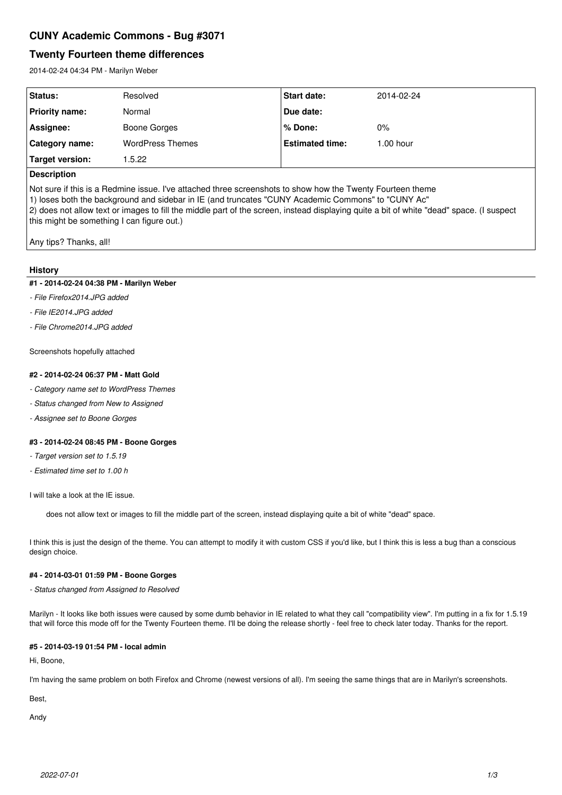# **CUNY Academic Commons - Bug #3071**

# **Twenty Fourteen theme differences**

2014-02-24 04:34 PM - Marilyn Weber

| <b>Status:</b>        | Resolved                | <b>Start date:</b>     | 2014-02-24 |
|-----------------------|-------------------------|------------------------|------------|
| <b>Priority name:</b> | Normal                  | Due date:              |            |
| Assignee:             | Boone Gorges            | l% Done:               | 0%         |
| Category name:        | <b>WordPress Themes</b> | <b>Estimated time:</b> | 1.00 hour  |
| Target version:       | .5.22                   |                        |            |
|                       |                         |                        |            |

# **Description**

Not sure if this is a Redmine issue. I've attached three screenshots to show how the Twenty Fourteen theme 1) loses both the background and sidebar in IE (and truncates "CUNY Academic Commons" to "CUNY Ac" 2) does not allow text or images to fill the middle part of the screen, instead displaying quite a bit of white "dead" space. (I suspect this might be something I can figure out.)

Any tips? Thanks, all!

#### **History**

## **#1 - 2014-02-24 04:38 PM - Marilyn Weber**

- *File Firefox2014.JPG added*
- *File IE2014.JPG added*
- *File Chrome2014.JPG added*

Screenshots hopefully attached

#### **#2 - 2014-02-24 06:37 PM - Matt Gold**

- *Category name set to WordPress Themes*
- *Status changed from New to Assigned*
- *Assignee set to Boone Gorges*

#### **#3 - 2014-02-24 08:45 PM - Boone Gorges**

- *Target version set to 1.5.19*
- *Estimated time set to 1.00 h*

I will take a look at the IE issue.

does not allow text or images to fill the middle part of the screen, instead displaying quite a bit of white "dead" space.

I think this is just the design of the theme. You can attempt to modify it with custom CSS if you'd like, but I think this is less a bug than a conscious design choice.

# **#4 - 2014-03-01 01:59 PM - Boone Gorges**

*- Status changed from Assigned to Resolved*

Marilyn - It looks like both issues were caused by some dumb behavior in IE related to what they call "compatibility view". I'm putting in a fix for 1.5.19 that will force this mode off for the Twenty Fourteen theme. I'll be doing the release shortly - feel free to check later today. Thanks for the report.

## **#5 - 2014-03-19 01:54 PM - local admin**

Hi, Boone,

I'm having the same problem on both Firefox and Chrome (newest versions of all). I'm seeing the same things that are in Marilyn's screenshots.

Best,

Andy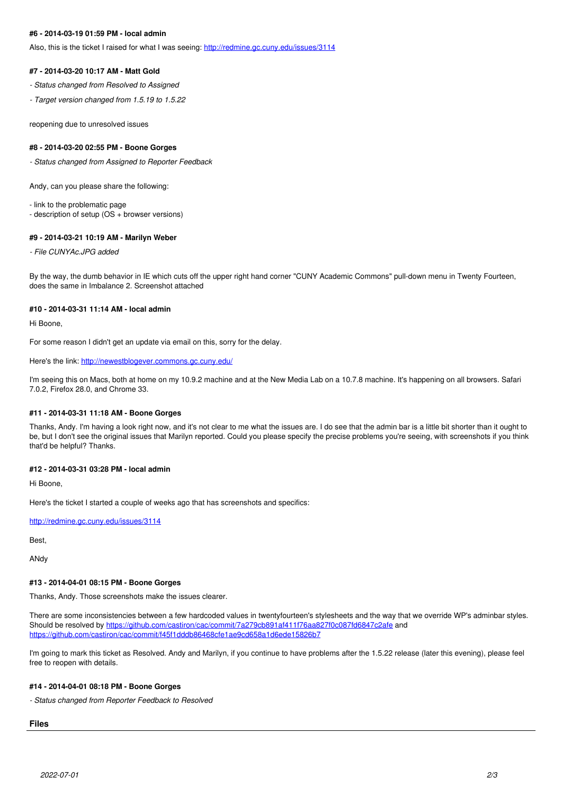## **#6 - 2014-03-19 01:59 PM - local admin**

Also, this is the ticket I raised for what I was seeing:<http://redmine.gc.cuny.edu/issues/3114>

#### **#7 - 2014-03-20 10:17 AM - Matt Gold**

- *Status changed from Resolved to Assigned*
- *Target version changed from 1.5.19 to 1.5.22*

reopening due to unresolved issues

#### **#8 - 2014-03-20 02:55 PM - Boone Gorges**

*- Status changed from Assigned to Reporter Feedback*

Andy, can you please share the following:

- link to the problematic page

- description of setup (OS + browser versions)

#### **#9 - 2014-03-21 10:19 AM - Marilyn Weber**

*- File CUNYAc.JPG added*

By the way, the dumb behavior in IE which cuts off the upper right hand corner "CUNY Academic Commons" pull-down menu in Twenty Fourteen, does the same in Imbalance 2. Screenshot attached

#### **#10 - 2014-03-31 11:14 AM - local admin**

Hi Boone,

For some reason I didn't get an update via email on this, sorry for the delay.

Here's the link:<http://newestblogever.commons.gc.cuny.edu/>

I'm seeing this on Macs, both at home on my 10.9.2 machine and at the New Media Lab on a 10.7.8 machine. It's happening on all browsers. Safari 7.0.2, Firefox 28.0, and Chrome 33.

#### **#11 - 2014-03-31 11:18 AM - Boone Gorges**

Thanks, Andy. I'm having a look right now, and it's not clear to me what the issues are. I do see that the admin bar is a little bit shorter than it ought to be, but I don't see the original issues that Marilyn reported. Could you please specify the precise problems you're seeing, with screenshots if you think that'd be helpful? Thanks.

### **#12 - 2014-03-31 03:28 PM - local admin**

Hi Boone,

Here's the ticket I started a couple of weeks ago that has screenshots and specifics:

<http://redmine.gc.cuny.edu/issues/3114>

Best,

ANdy

## **#13 - 2014-04-01 08:15 PM - Boone Gorges**

Thanks, Andy. Those screenshots make the issues clearer.

There are some inconsistencies between a few hardcoded values in twentyfourteen's stylesheets and the way that we override WP's adminbar styles. Should be resolved by <https://github.com/castiron/cac/commit/7a279cb891af411f76aa827f0c087fd6847c2afe> and <https://github.com/castiron/cac/commit/f45f1dddb86468cfe1ae9cd658a1d6ede15826b7>

I'm going to mark this ticket as Resolved. Andy and Marilyn, if you continue to have problems after the 1.5.22 release (later this evening), please feel free to reopen with details.

#### **#14 - 2014-04-01 08:18 PM - Boone Gorges**

*- Status changed from Reporter Feedback to Resolved*

# **Files**